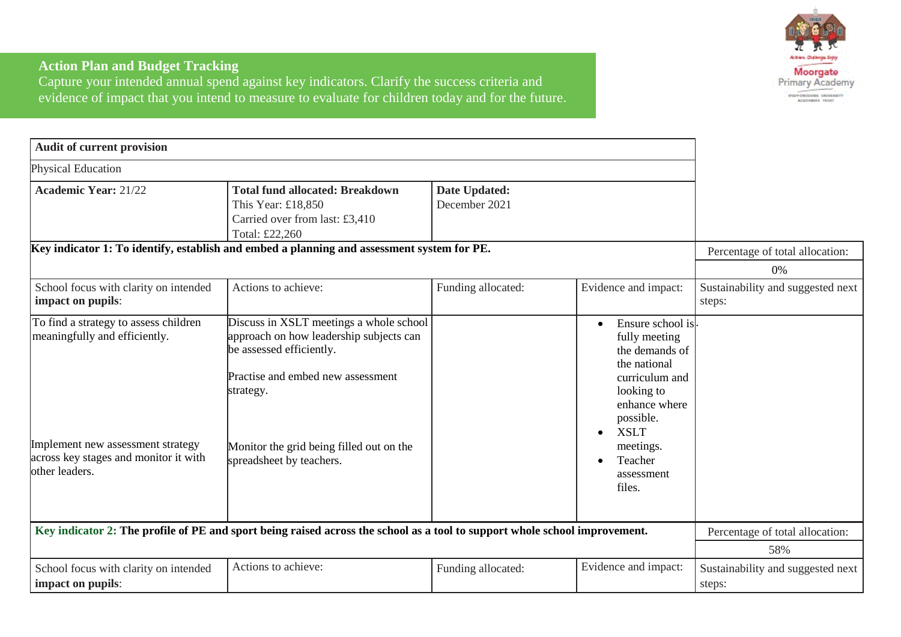

## **Action Plan and Budget Tracking**

Capture your intended annual spend against key indicators. Clarify the success criteria and evidence of impact that you intend to measure to evaluate for children today and for the future.

| Audit of current provision                                                                                                                                             |                                                                                                                                                                                                                                          |                                |                                                                                                                                                                                                               |                                             |
|------------------------------------------------------------------------------------------------------------------------------------------------------------------------|------------------------------------------------------------------------------------------------------------------------------------------------------------------------------------------------------------------------------------------|--------------------------------|---------------------------------------------------------------------------------------------------------------------------------------------------------------------------------------------------------------|---------------------------------------------|
| Physical Education                                                                                                                                                     |                                                                                                                                                                                                                                          |                                |                                                                                                                                                                                                               |                                             |
| <b>Academic Year: 21/22</b>                                                                                                                                            | <b>Total fund allocated: Breakdown</b><br>This Year: £18,850<br>Carried over from last: £3,410<br>Total: £22,260                                                                                                                         | Date Updated:<br>December 2021 |                                                                                                                                                                                                               |                                             |
|                                                                                                                                                                        | Key indicator 1: To identify, establish and embed a planning and assessment system for PE.                                                                                                                                               |                                |                                                                                                                                                                                                               | Percentage of total allocation:             |
|                                                                                                                                                                        |                                                                                                                                                                                                                                          |                                |                                                                                                                                                                                                               | 0%                                          |
| School focus with clarity on intended<br>impact on pupils:                                                                                                             | Actions to achieve:                                                                                                                                                                                                                      | Funding allocated:             | Evidence and impact:                                                                                                                                                                                          | Sustainability and suggested next<br>steps: |
| To find a strategy to assess children<br>meaningfully and efficiently.<br>Implement new assessment strategy<br>across key stages and monitor it with<br>other leaders. | Discuss in XSLT meetings a whole school<br>approach on how leadership subjects can<br>be assessed efficiently.<br>Practise and embed new assessment<br>strategy.<br>Monitor the grid being filled out on the<br>spreadsheet by teachers. |                                | Ensure school is<br>fully meeting<br>the demands of<br>the national<br>curriculum and<br>looking to<br>enhance where<br>possible.<br><b>XSLT</b><br>$\bullet$<br>meetings.<br>Teacher<br>assessment<br>files. |                                             |
|                                                                                                                                                                        | Key indicator 2: The profile of PE and sport being raised across the school as a tool to support whole school improvement.                                                                                                               |                                |                                                                                                                                                                                                               | Percentage of total allocation:             |
|                                                                                                                                                                        |                                                                                                                                                                                                                                          |                                |                                                                                                                                                                                                               | 58%                                         |
| School focus with clarity on intended<br>impact on pupils:                                                                                                             | Actions to achieve:                                                                                                                                                                                                                      | Funding allocated:             | Evidence and impact:                                                                                                                                                                                          | Sustainability and suggested next<br>steps: |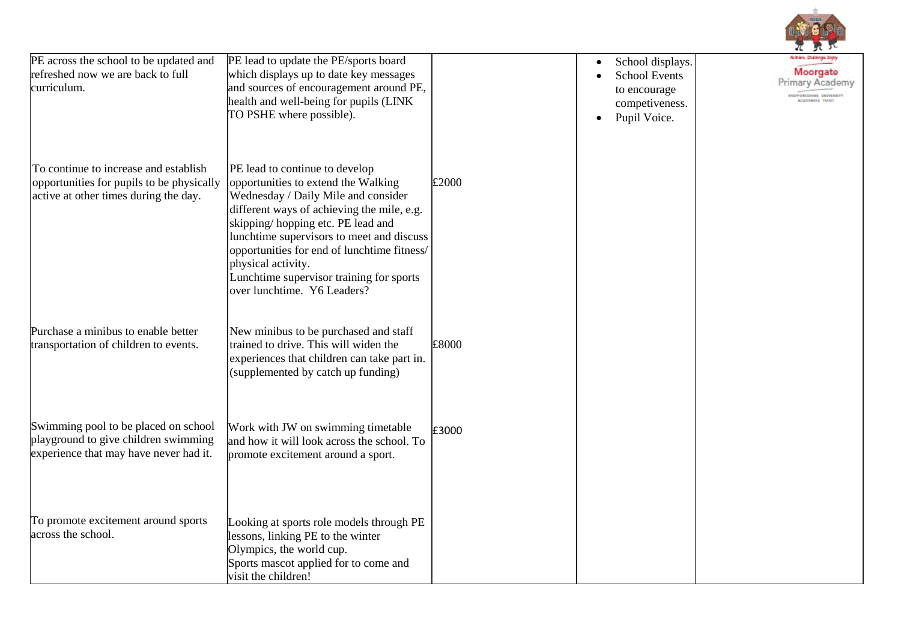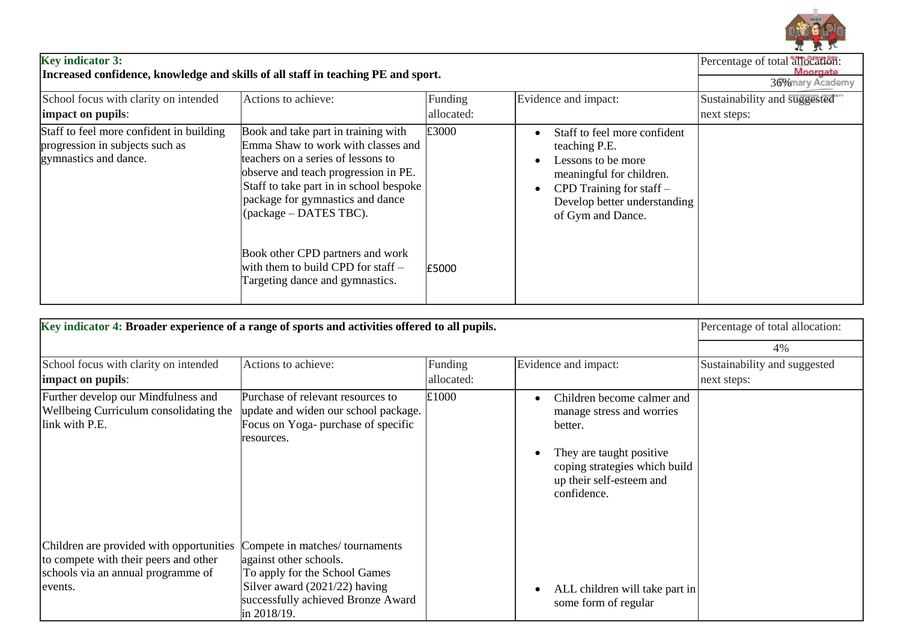

| <b>Key indicator 3:</b>                                                           |
|-----------------------------------------------------------------------------------|
| Increased confidence, knowledge and skills of all staff in teaching PE and sport. |

| <b>Key indicator 3:</b><br>Increased confidence, knowledge and skills of all staff in teaching PE and sport. |                                                                                                                                                                                                                                                                           |            |                                                                                                                                                                                    | Percentage of total allocation:<br>Moorgate<br>36% mary Academy |
|--------------------------------------------------------------------------------------------------------------|---------------------------------------------------------------------------------------------------------------------------------------------------------------------------------------------------------------------------------------------------------------------------|------------|------------------------------------------------------------------------------------------------------------------------------------------------------------------------------------|-----------------------------------------------------------------|
| School focus with clarity on intended                                                                        | Actions to achieve:                                                                                                                                                                                                                                                       | Funding    | Evidence and impact:                                                                                                                                                               | Sustainability and suggested                                    |
| impact on pupils:                                                                                            |                                                                                                                                                                                                                                                                           | allocated: |                                                                                                                                                                                    | next steps:                                                     |
| Staff to feel more confident in building<br>progression in subjects such as<br>gymnastics and dance.         | Book and take part in training with<br>Emma Shaw to work with classes and<br>teachers on a series of lessons to<br>observe and teach progression in PE.<br>Staff to take part in in school bespoke<br>package for gymnastics and dance<br>$\alpha$ (package – DATES TBC). | £3000      | Staff to feel more confident<br>teaching P.E.<br>Lessons to be more<br>meaningful for children.<br>CPD Training for staff $-$<br>Develop better understanding<br>of Gym and Dance. |                                                                 |
|                                                                                                              | Book other CPD partners and work<br>with them to build CPD for staff $-$<br>Targeting dance and gymnastics.                                                                                                                                                               | £5000      |                                                                                                                                                                                    |                                                                 |

| Key indicator 4: Broader experience of a range of sports and activities offered to all pupils.                                      |                                                                                                                                                                    |            |                                                                                                                                                                            | Percentage of total allocation: |
|-------------------------------------------------------------------------------------------------------------------------------------|--------------------------------------------------------------------------------------------------------------------------------------------------------------------|------------|----------------------------------------------------------------------------------------------------------------------------------------------------------------------------|---------------------------------|
|                                                                                                                                     |                                                                                                                                                                    |            |                                                                                                                                                                            | 4%                              |
| School focus with clarity on intended                                                                                               | Actions to achieve:                                                                                                                                                | Funding    | Evidence and impact:                                                                                                                                                       | Sustainability and suggested    |
| impact on pupils:                                                                                                                   |                                                                                                                                                                    | allocated: |                                                                                                                                                                            | next steps:                     |
| Further develop our Mindfulness and<br>Wellbeing Curriculum consolidating the<br>link with P.E.                                     | Purchase of relevant resources to<br>update and widen our school package.<br>Focus on Yoga- purchase of specific<br>resources.                                     | £1000      | Children become calmer and<br>manage stress and worries<br>better.<br>They are taught positive<br>coping strategies which build<br>up their self-esteem and<br>confidence. |                                 |
| Children are provided with opportunities<br>to compete with their peers and other<br>schools via an annual programme of<br>levents. | Compete in matches/tournaments<br>against other schools.<br>To apply for the School Games<br>Silver award $(2021/22)$ having<br>successfully achieved Bronze Award |            | ALL children will take part in<br>some form of regular                                                                                                                     |                                 |